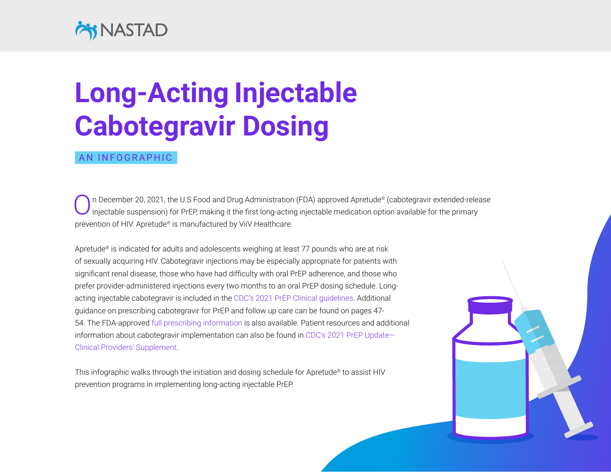## **EX NASTAD**

## **Long-Acting Injectable Cabotegravir Dosing**

## AN INFOGRAPHIC

n December 20, 2021, the U.S Food and Drug Administration (FDA) approved Apretude® (cabotegravir extended-release injectable suspension) for PrEP, making it the first long-acting injectable medication option available for the primary prevention of HIV. Apretude® is manufactured by ViiV Healthcare.

Apretude® is indicated for adults and adolescents weighing at least 77 pounds who are at risk of sexually acquiring HIV. Cabotegravir injections may be especially appropriate for patients with significant renal disease, those who have had difficulty with oral PrEP adherence, and those who prefer provider-administered injections every two months to an oral PrEP dosing schedule. Longacting injectable cabotegravir is included in the [CDC's 2021 PrEP Clinical guidelines](https://www.cdc.gov/hiv/pdf/risk/prep/cdc-hiv-prep-guidelines-2021.pdf). Additional guidance on prescribing cabotegravir for PrEP and follow up care can be found on pages 47- 54. The FDA-approved [full prescribing information](https://gskpro.com/content/dam/global/hcpportal/en_US/Prescribing_Information/Apretude/pdf/APRETUDE-PI-PIL-IFU.PDF) is also available. Patient resources and additional information about cabotegravir implementation can also be found in [CDC's 2021 PrEP Update—](https://www.cdc.gov/hiv/pdf/risk/prep/cdc-hiv-prep-provider-supplement-2021.pdf) [Clinical Providers' Supplement.](https://www.cdc.gov/hiv/pdf/risk/prep/cdc-hiv-prep-provider-supplement-2021.pdf)

This infographic walks through the initiation and dosing schedule for Apretude® to assist HIV prevention programs in implementing long-acting injectable PrEP.